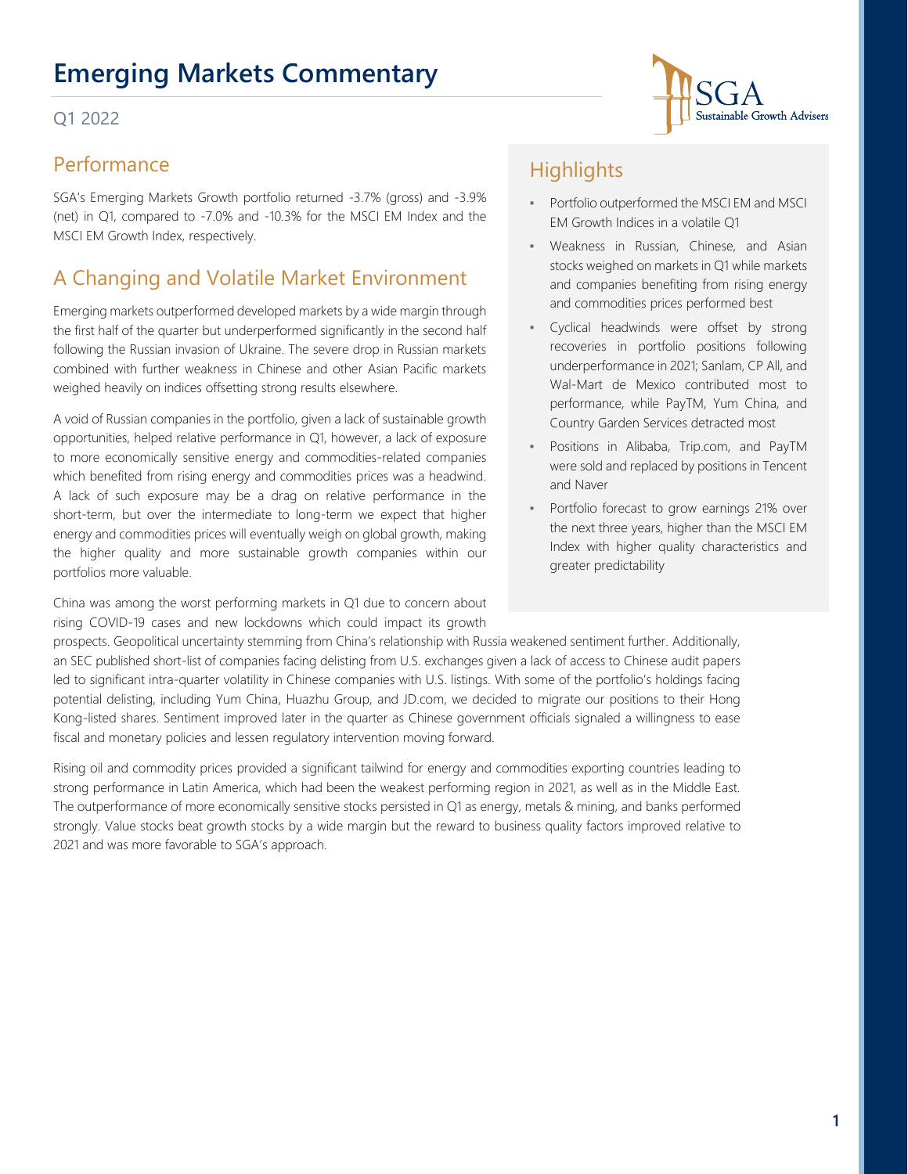## **Emerging Markets Commentary**

#### Q1 2022

### Performance

SGA's Emerging Markets Growth portfolio returned -3.7% (gross) and -3.9% (net) in Q1, compared to -7.0% and -10.3% for the MSCI EM Index and the MSCI EM Growth Index, respectively.

## A Changing and Volatile Market Environment

Emerging markets outperformed developed markets by a wide margin through the first half of the quarter but underperformed significantly in the second half following the Russian invasion of Ukraine. The severe drop in Russian markets combined with further weakness in Chinese and other Asian Pacific markets weighed heavily on indices offsetting strong results elsewhere.

A void of Russian companies in the portfolio, given a lack of sustainable growth opportunities, helped relative performance in Q1, however, a lack of exposure to more economically sensitive energy and commodities-related companies which benefited from rising energy and commodities prices was a headwind. A lack of such exposure may be a drag on relative performance in the short-term, but over the intermediate to long-term we expect that higher energy and commodities prices will eventually weigh on global growth, making the higher quality and more sustainable growth companies within our portfolios more valuable.

China was among the worst performing markets in Q1 due to concern about rising COVID-19 cases and new lockdowns which could impact its growth

## **Highlights**

- Portfolio outperformed the MSCI EM and MSCI EM Growth Indices in a volatile Q1
- Weakness in Russian, Chinese, and Asian stocks weighed on markets in Q1 while markets and companies benefiting from rising energy and commodities prices performed best
- Cyclical headwinds were offset by strong recoveries in portfolio positions following underperformance in 2021; Sanlam, CP All, and Wal-Mart de Mexico contributed most to performance, while PayTM, Yum China, and Country Garden Services detracted most
- Positions in Alibaba, Trip.com, and PayTM were sold and replaced by positions in Tencent and Naver
- Portfolio forecast to grow earnings 21% over the next three years, higher than the MSCI EM Index with higher quality characteristics and greater predictability

prospects. Geopolitical uncertainty stemming from China's relationship with Russia weakened sentiment further. Additionally, an SEC published short-list of companies facing delisting from U.S. exchanges given a lack of access to Chinese audit papers led to significant intra-quarter volatility in Chinese companies with U.S. listings. With some of the portfolio's holdings facing potential delisting, including Yum China, Huazhu Group, and JD.com, we decided to migrate our positions to their Hong Kong-listed shares. Sentiment improved later in the quarter as Chinese government officials signaled a willingness to ease fiscal and monetary policies and lessen regulatory intervention moving forward.

Rising oil and commodity prices provided a significant tailwind for energy and commodities exporting countries leading to strong performance in Latin America, which had been the weakest performing region in 2021, as well as in the Middle East. The outperformance of more economically sensitive stocks persisted in Q1 as energy, metals & mining, and banks performed strongly. Value stocks beat growth stocks by a wide margin but the reward to business quality factors improved relative to 2021 and was more favorable to SGA's approach.

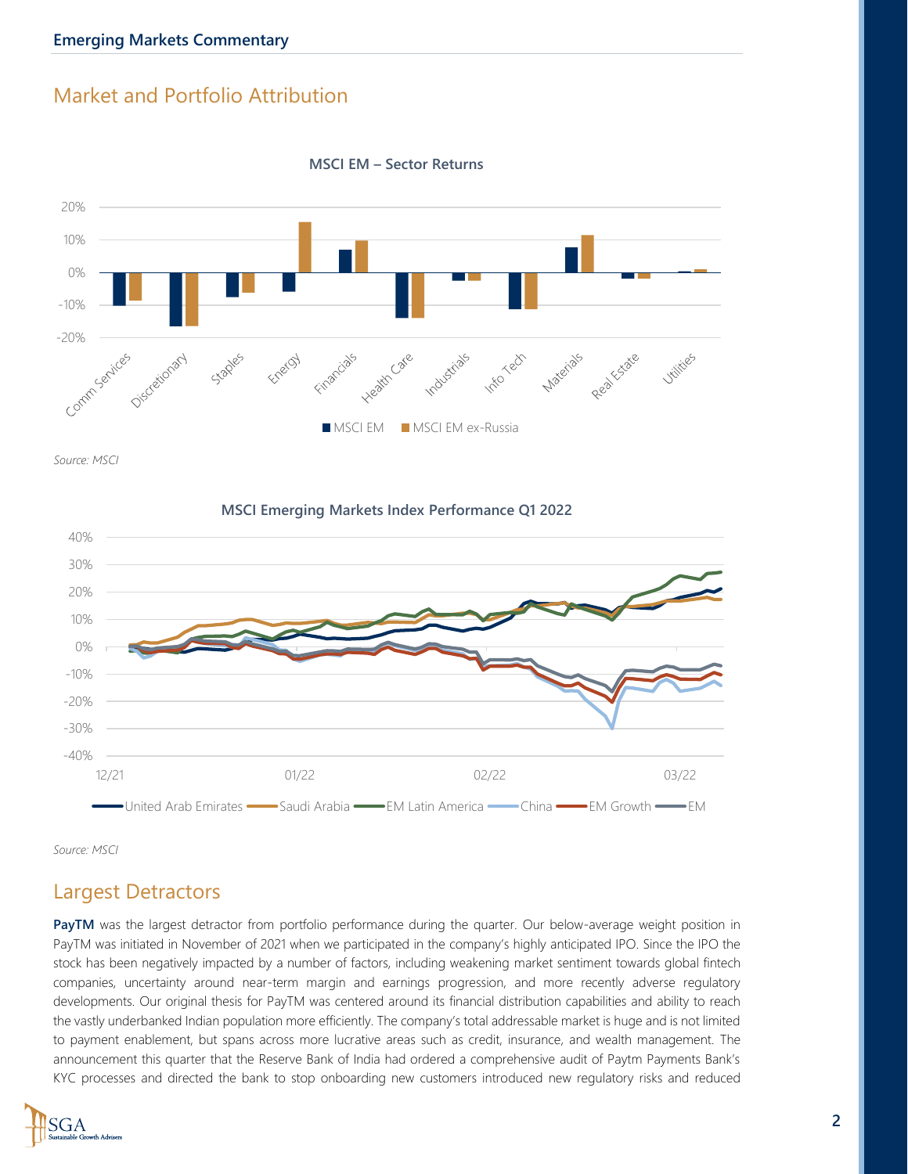#### Market and Portfolio Attribution



**MSCI EM – Sector Returns**

*Source: MSCI*

**MSCI Emerging Markets Index Performance Q1 2022**



*Source: MSCI*

#### Largest Detractors

PayTM was the largest detractor from portfolio performance during the quarter. Our below-average weight position in PayTM was initiated in November of 2021 when we participated in the company's highly anticipated IPO. Since the IPO the stock has been negatively impacted by a number of factors, including weakening market sentiment towards global fintech companies, uncertainty around near-term margin and earnings progression, and more recently adverse regulatory developments. Our original thesis for PayTM was centered around its financial distribution capabilities and ability to reach the vastly underbanked Indian population more efficiently. The company's total addressable market is huge and is not limited to payment enablement, but spans across more lucrative areas such as credit, insurance, and wealth management. The announcement this quarter that the Reserve Bank of India had ordered a comprehensive audit of Paytm Payments Bank's KYC processes and directed the bank to stop onboarding new customers introduced new regulatory risks and reduced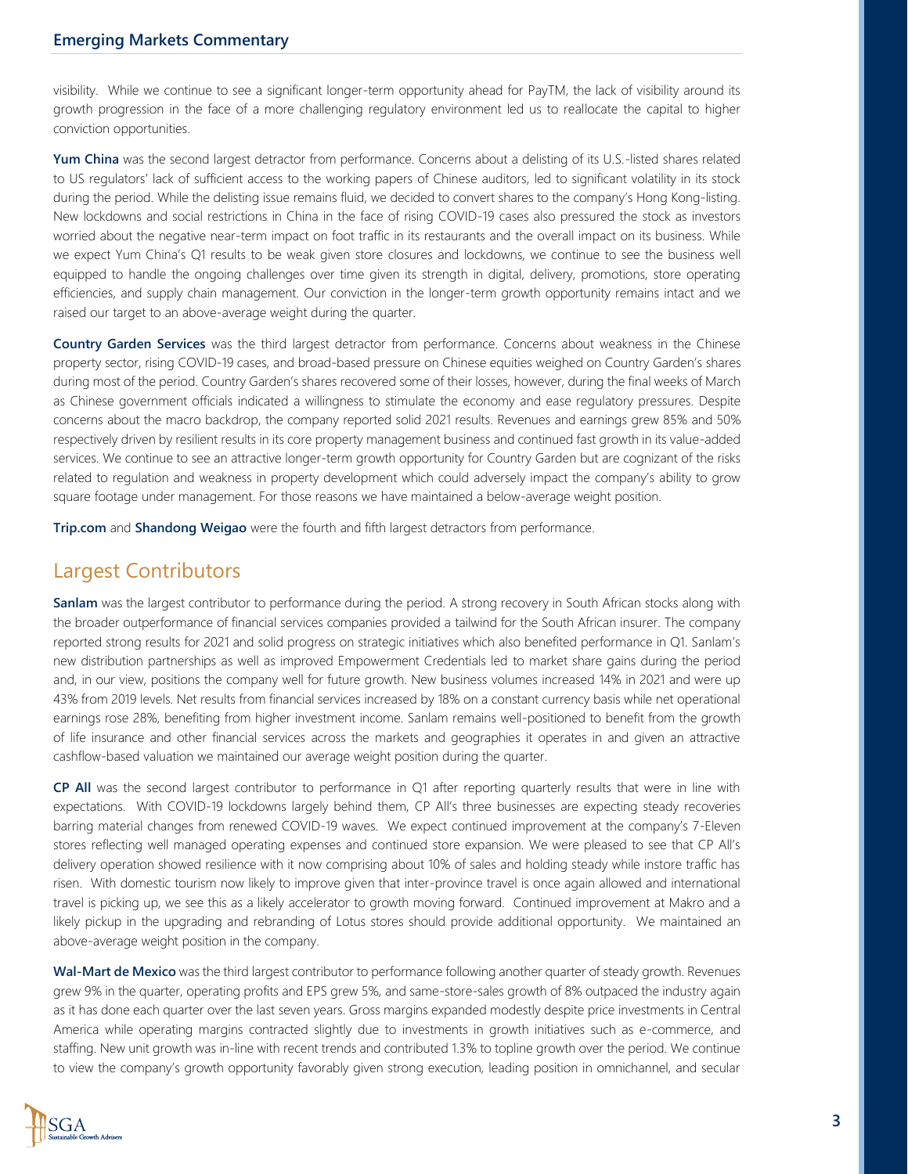visibility. While we continue to see a significant longer-term opportunity ahead for PayTM, the lack of visibility around its growth progression in the face of a more challenging regulatory environment led us to reallocate the capital to higher conviction opportunities.

**Yum China** was the second largest detractor from performance. Concerns about a delisting of its U.S.-listed shares related to US regulators' lack of sufficient access to the working papers of Chinese auditors, led to significant volatility in its stock during the period. While the delisting issue remains fluid, we decided to convert shares to the company's Hong Kong-listing. New lockdowns and social restrictions in China in the face of rising COVID-19 cases also pressured the stock as investors worried about the negative near-term impact on foot traffic in its restaurants and the overall impact on its business. While we expect Yum China's Q1 results to be weak given store closures and lockdowns, we continue to see the business well equipped to handle the ongoing challenges over time given its strength in digital, delivery, promotions, store operating efficiencies, and supply chain management. Our conviction in the longer-term growth opportunity remains intact and we raised our target to an above-average weight during the quarter.

**Country Garden Services** was the third largest detractor from performance. Concerns about weakness in the Chinese property sector, rising COVID-19 cases, and broad-based pressure on Chinese equities weighed on Country Garden's shares during most of the period. Country Garden's shares recovered some of their losses, however, during the final weeks of March as Chinese government officials indicated a willingness to stimulate the economy and ease regulatory pressures. Despite concerns about the macro backdrop, the company reported solid 2021 results. Revenues and earnings grew 85% and 50% respectively driven by resilient results in its core property management business and continued fast growth in its value-added services. We continue to see an attractive longer-term growth opportunity for Country Garden but are cognizant of the risks related to regulation and weakness in property development which could adversely impact the company's ability to grow square footage under management. For those reasons we have maintained a below-average weight position.

**Trip.com** and **Shandong Weigao** were the fourth and fifth largest detractors from performance.

#### Largest Contributors

**Sanlam** was the largest contributor to performance during the period. A strong recovery in South African stocks along with the broader outperformance of financial services companies provided a tailwind for the South African insurer. The company reported strong results for 2021 and solid progress on strategic initiatives which also benefited performance in Q1. Sanlam's new distribution partnerships as well as improved Empowerment Credentials led to market share gains during the period and, in our view, positions the company well for future growth. New business volumes increased 14% in 2021 and were up 43% from 2019 levels. Net results from financial services increased by 18% on a constant currency basis while net operational earnings rose 28%, benefiting from higher investment income. Sanlam remains well-positioned to benefit from the growth of life insurance and other financial services across the markets and geographies it operates in and given an attractive cashflow-based valuation we maintained our average weight position during the quarter.

**CP All** was the second largest contributor to performance in Q1 after reporting quarterly results that were in line with expectations. With COVID-19 lockdowns largely behind them, CP All's three businesses are expecting steady recoveries barring material changes from renewed COVID-19 waves. We expect continued improvement at the company's 7-Eleven stores reflecting well managed operating expenses and continued store expansion. We were pleased to see that CP All's delivery operation showed resilience with it now comprising about 10% of sales and holding steady while instore traffic has risen. With domestic tourism now likely to improve given that inter-province travel is once again allowed and international travel is picking up, we see this as a likely accelerator to growth moving forward. Continued improvement at Makro and a likely pickup in the upgrading and rebranding of Lotus stores should provide additional opportunity. We maintained an above-average weight position in the company.

**Wal-Mart de Mexico** was the third largest contributor to performance following another quarter of steady growth. Revenues grew 9% in the quarter, operating profits and EPS grew 5%, and same-store-sales growth of 8% outpaced the industry again as it has done each quarter over the last seven years. Gross margins expanded modestly despite price investments in Central America while operating margins contracted slightly due to investments in growth initiatives such as e-commerce, and staffing. New unit growth was in-line with recent trends and contributed 1.3% to topline growth over the period. We continue to view the company's growth opportunity favorably given strong execution, leading position in omnichannel, and secular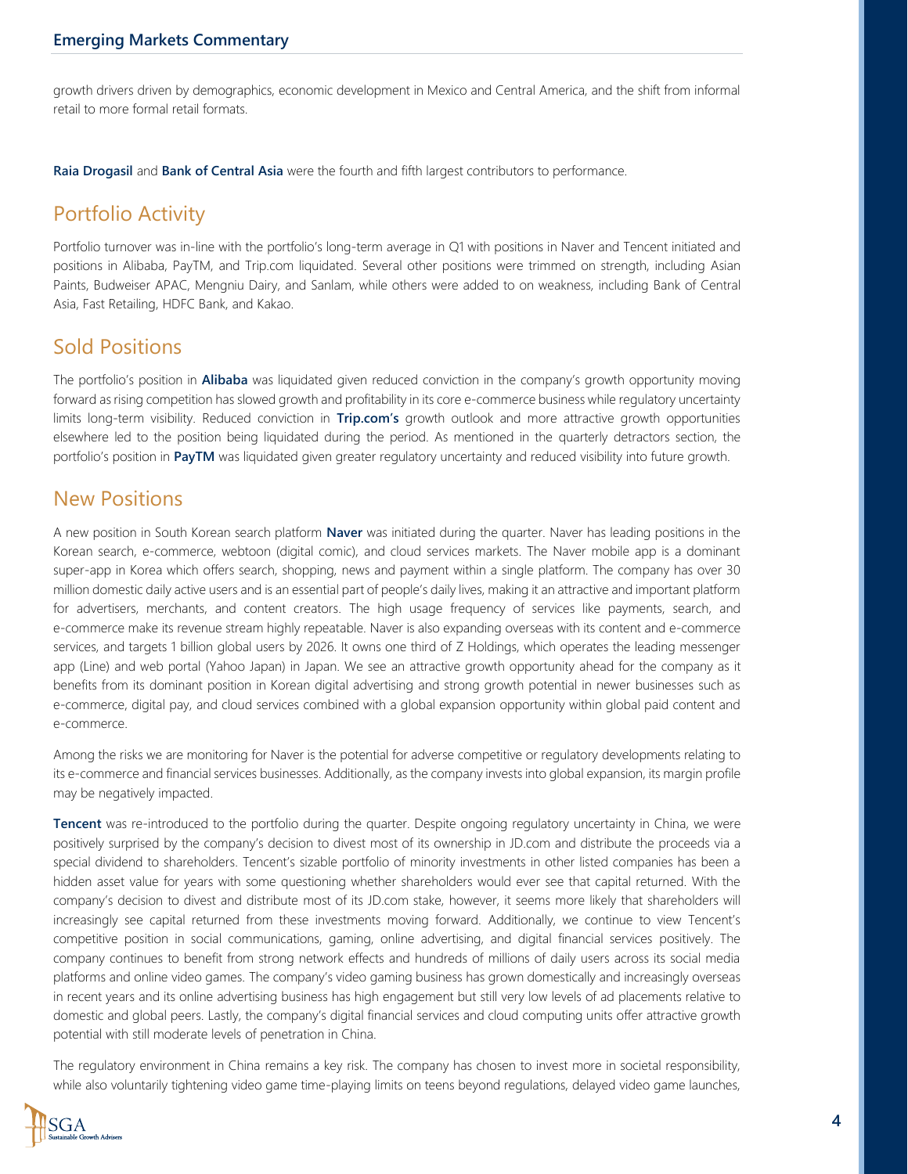growth drivers driven by demographics, economic development in Mexico and Central America, and the shift from informal retail to more formal retail formats.

**Raia Drogasil** and **Bank of Central Asia** were the fourth and fifth largest contributors to performance.

## Portfolio Activity

Portfolio turnover was in-line with the portfolio's long-term average in Q1 with positions in Naver and Tencent initiated and positions in Alibaba, PayTM, and Trip.com liquidated. Several other positions were trimmed on strength, including Asian Paints, Budweiser APAC, Mengniu Dairy, and Sanlam, while others were added to on weakness, including Bank of Central Asia, Fast Retailing, HDFC Bank, and Kakao.

#### Sold Positions

The portfolio's position in **Alibaba** was liquidated given reduced conviction in the company's growth opportunity moving forward as rising competition has slowed growth and profitability in its core e-commerce business while regulatory uncertainty limits long-term visibility. Reduced conviction in **Trip.com's** growth outlook and more attractive growth opportunities elsewhere led to the position being liquidated during the period. As mentioned in the quarterly detractors section, the portfolio's position in **PayTM** was liquidated given greater regulatory uncertainty and reduced visibility into future growth.

#### New Positions

A new position in South Korean search platform **Naver** was initiated during the quarter. Naver has leading positions in the Korean search, e-commerce, webtoon (digital comic), and cloud services markets. The Naver mobile app is a dominant super-app in Korea which offers search, shopping, news and payment within a single platform. The company has over 30 million domestic daily active users and is an essential part of people's daily lives, making it an attractive and important platform for advertisers, merchants, and content creators. The high usage frequency of services like payments, search, and e-commerce make its revenue stream highly repeatable. Naver is also expanding overseas with its content and e-commerce services, and targets 1 billion global users by 2026. It owns one third of Z Holdings, which operates the leading messenger app (Line) and web portal (Yahoo Japan) in Japan. We see an attractive growth opportunity ahead for the company as it benefits from its dominant position in Korean digital advertising and strong growth potential in newer businesses such as e-commerce, digital pay, and cloud services combined with a global expansion opportunity within global paid content and e-commerce.

Among the risks we are monitoring for Naver is the potential for adverse competitive or regulatory developments relating to its e-commerce and financial services businesses. Additionally, as the company invests into global expansion, its margin profile may be negatively impacted.

**Tencent** was re-introduced to the portfolio during the quarter. Despite ongoing regulatory uncertainty in China, we were positively surprised by the company's decision to divest most of its ownership in JD.com and distribute the proceeds via a special dividend to shareholders. Tencent's sizable portfolio of minority investments in other listed companies has been a hidden asset value for years with some questioning whether shareholders would ever see that capital returned. With the company's decision to divest and distribute most of its JD.com stake, however, it seems more likely that shareholders will increasingly see capital returned from these investments moving forward. Additionally, we continue to view Tencent's competitive position in social communications, gaming, online advertising, and digital financial services positively. The company continues to benefit from strong network effects and hundreds of millions of daily users across its social media platforms and online video games. The company's video gaming business has grown domestically and increasingly overseas in recent years and its online advertising business has high engagement but still very low levels of ad placements relative to domestic and global peers. Lastly, the company's digital financial services and cloud computing units offer attractive growth potential with still moderate levels of penetration in China.

The regulatory environment in China remains a key risk. The company has chosen to invest more in societal responsibility, while also voluntarily tightening video game time-playing limits on teens beyond regulations, delayed video game launches,

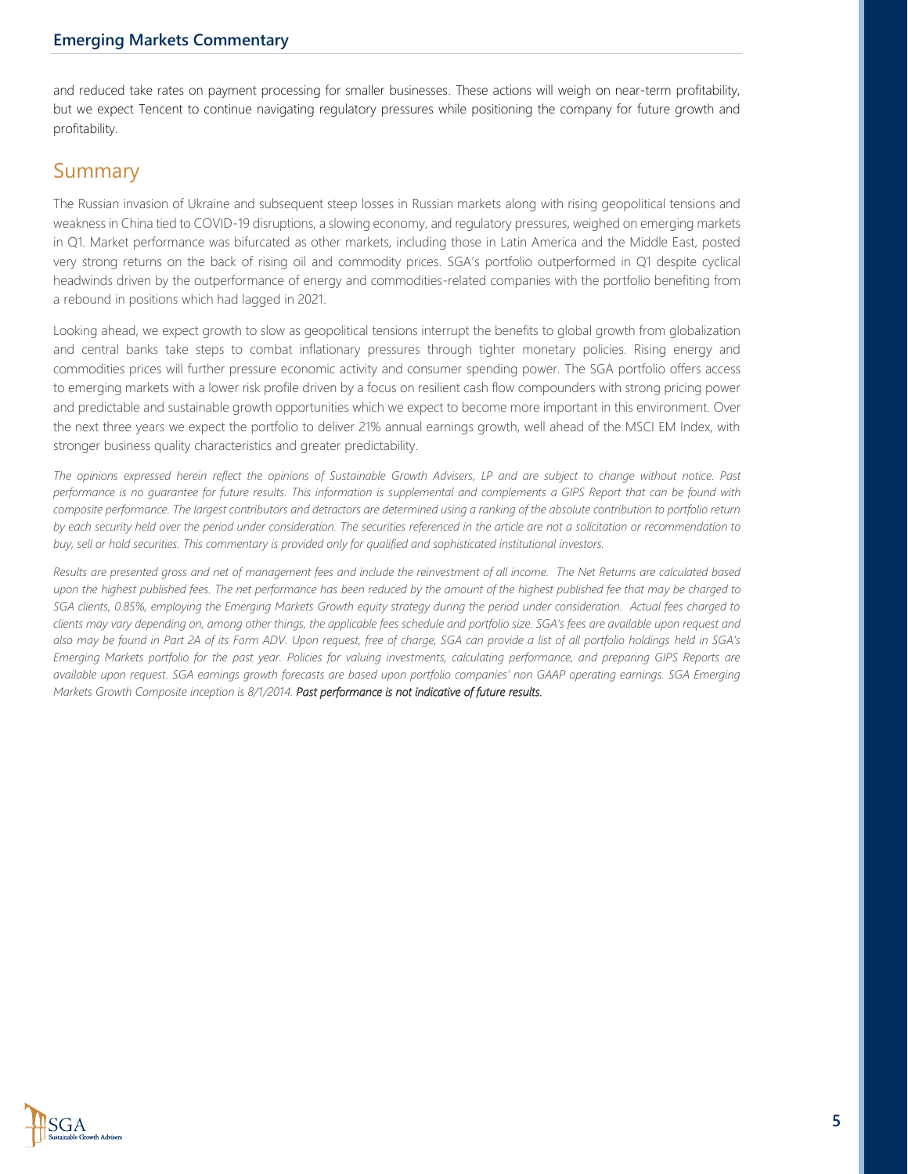and reduced take rates on payment processing for smaller businesses. These actions will weigh on near-term profitability, but we expect Tencent to continue navigating regulatory pressures while positioning the company for future growth and profitability.

### Summary

The Russian invasion of Ukraine and subsequent steep losses in Russian markets along with rising geopolitical tensions and weakness in China tied to COVID-19 disruptions, a slowing economy, and regulatory pressures, weighed on emerging markets in Q1. Market performance was bifurcated as other markets, including those in Latin America and the Middle East, posted very strong returns on the back of rising oil and commodity prices. SGA's portfolio outperformed in Q1 despite cyclical headwinds driven by the outperformance of energy and commodities-related companies with the portfolio benefiting from a rebound in positions which had lagged in 2021.

Looking ahead, we expect growth to slow as geopolitical tensions interrupt the benefits to global growth from globalization and central banks take steps to combat inflationary pressures through tighter monetary policies. Rising energy and commodities prices will further pressure economic activity and consumer spending power. The SGA portfolio offers access to emerging markets with a lower risk profile driven by a focus on resilient cash flow compounders with strong pricing power and predictable and sustainable growth opportunities which we expect to become more important in this environment. Over the next three years we expect the portfolio to deliver 21% annual earnings growth, well ahead of the MSCI EM Index, with stronger business quality characteristics and greater predictability.

*The opinions expressed herein reflect the opinions of Sustainable Growth Advisers, LP and are subject to change without notice. Past performance is no guarantee for future results. This information is supplemental and complements a GIPS Report that can be found with composite performance. The largest contributors and detractors are determined using a ranking of the absolute contribution to portfolio return by each security held over the period under consideration. The securities referenced in the article are not a solicitation or recommendation to buy, sell or hold securities. This commentary is provided only for qualified and sophisticated institutional investors.* 

*Results are presented gross and net of management fees and include the reinvestment of all income. The Net Returns are calculated based upon the highest published fees. The net performance has been reduced by the amount of the highest published fee that may be charged to SGA clients, 0.85%, employing the Emerging Markets Growth equity strategy during the period under consideration. Actual fees charged to clients may vary depending on, among other things, the applicable fees schedule and portfolio size. SGA's fees are available upon request and* also may be found in Part 2A of its Form ADV. Upon request, free of charge, SGA can provide a list of all portfolio holdings held in SGA's *Emerging Markets portfolio for the past year. Policies for valuing investments, calculating performance, and preparing GIPS Reports are available upon request. SGA earnings growth forecasts are based upon portfolio companies' non GAAP operating earnings. SGA Emerging Markets Growth Composite inception is 8/1/2014. Past performance is not indicative of future results.*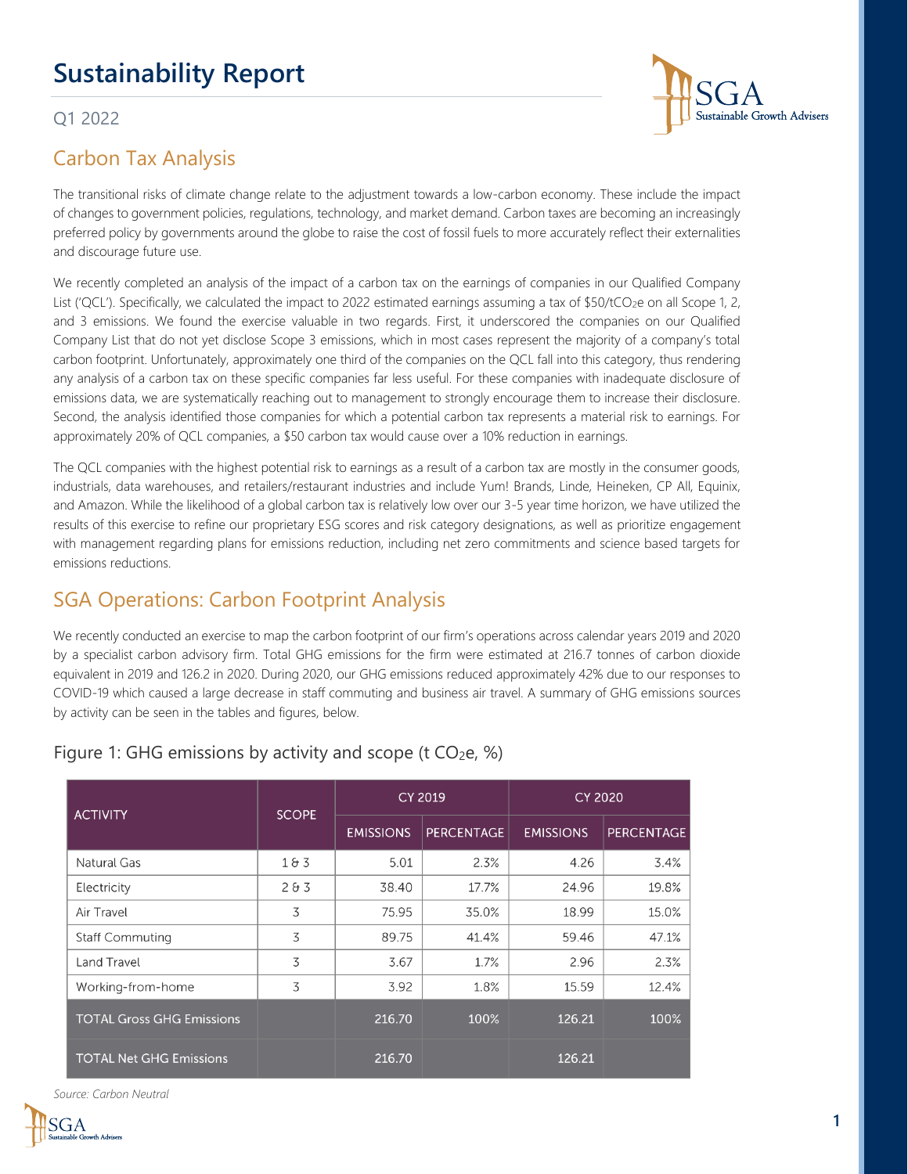# **Sustainability Report**

#### Q1 2022



The transitional risks of climate change relate to the adjustment towards a low-carbon economy. These include the impact of changes to government policies, regulations, technology, and market demand. Carbon taxes are becoming an increasingly preferred policy by governments around the globe to raise the cost of fossil fuels to more accurately reflect their externalities and discourage future use.

We recently completed an analysis of the impact of a carbon tax on the earnings of companies in our Qualified Company List ('QCL'). Specifically, we calculated the impact to 2022 estimated earnings assuming a tax of \$50/tCO<sub>2</sub>e on all Scope 1, 2, and 3 emissions. We found the exercise valuable in two regards. First, it underscored the companies on our Qualified Company List that do not yet disclose Scope 3 emissions, which in most cases represent the majority of a company's total carbon footprint. Unfortunately, approximately one third of the companies on the QCL fall into this category, thus rendering any analysis of a carbon tax on these specific companies far less useful. For these companies with inadequate disclosure of emissions data, we are systematically reaching out to management to strongly encourage them to increase their disclosure. Second, the analysis identified those companies for which a potential carbon tax represents a material risk to earnings. For approximately 20% of QCL companies, a \$50 carbon tax would cause over a 10% reduction in earnings.

The QCL companies with the highest potential risk to earnings as a result of a carbon tax are mostly in the consumer goods, industrials, data warehouses, and retailers/restaurant industries and include Yum! Brands, Linde, Heineken, CP All, Equinix, and Amazon. While the likelihood of a global carbon tax is relatively low over our 3-5 year time horizon, we have utilized the results of this exercise to refine our proprietary ESG scores and risk category designations, as well as prioritize engagement with management regarding plans for emissions reduction, including net zero commitments and science based targets for emissions reductions.

## SGA Operations: Carbon Footprint Analysis

We recently conducted an exercise to map the carbon footprint of our firm's operations across calendar years 2019 and 2020 by a specialist carbon advisory firm. Total GHG emissions for the firm were estimated at 216.7 tonnes of carbon dioxide equivalent in 2019 and 126.2 in 2020. During 2020, our GHG emissions reduced approximately 42% due to our responses to COVID-19 which caused a large decrease in staff commuting and business air travel. A summary of GHG emissions sources by activity can be seen in the tables and figures, below.

| <b>ACTIVITY</b>                  | <b>SCOPE</b> | <b>CY 2019</b>   |                   | <b>CY 2020</b>   |                   |
|----------------------------------|--------------|------------------|-------------------|------------------|-------------------|
|                                  |              | <b>EMISSIONS</b> | <b>PERCENTAGE</b> | <b>EMISSIONS</b> | <b>PERCENTAGE</b> |
| Natural Gas                      | 183          | 5.01             | 2.3%              | 4.26             | 3.4%              |
| Electricity                      | 283          | 38.40            | 17.7%             | 24.96            | 19.8%             |
| Air Travel                       | 3            | 75.95            | 35.0%             | 18.99            | 15.0%             |
| <b>Staff Commuting</b>           | 3            | 89.75            | 41.4%             | 59.46            | 47.1%             |
| Land Travel                      | 3            | 3.67             | 1.7%              | 2.96             | 2.3%              |
| Working-from-home                | 3            | 3.92             | 1.8%              | 15.59            | 12.4%             |
| <b>TOTAL Gross GHG Emissions</b> |              | 216.70           | 100%              | 126.21           | 100%              |
| <b>TOTAL Net GHG Emissions</b>   |              | 216.70           |                   | 126.21           |                   |

#### Figure 1: GHG emissions by activity and scope (t  $CO<sub>2</sub>e$ , %)

*Source: Carbon Neutral*



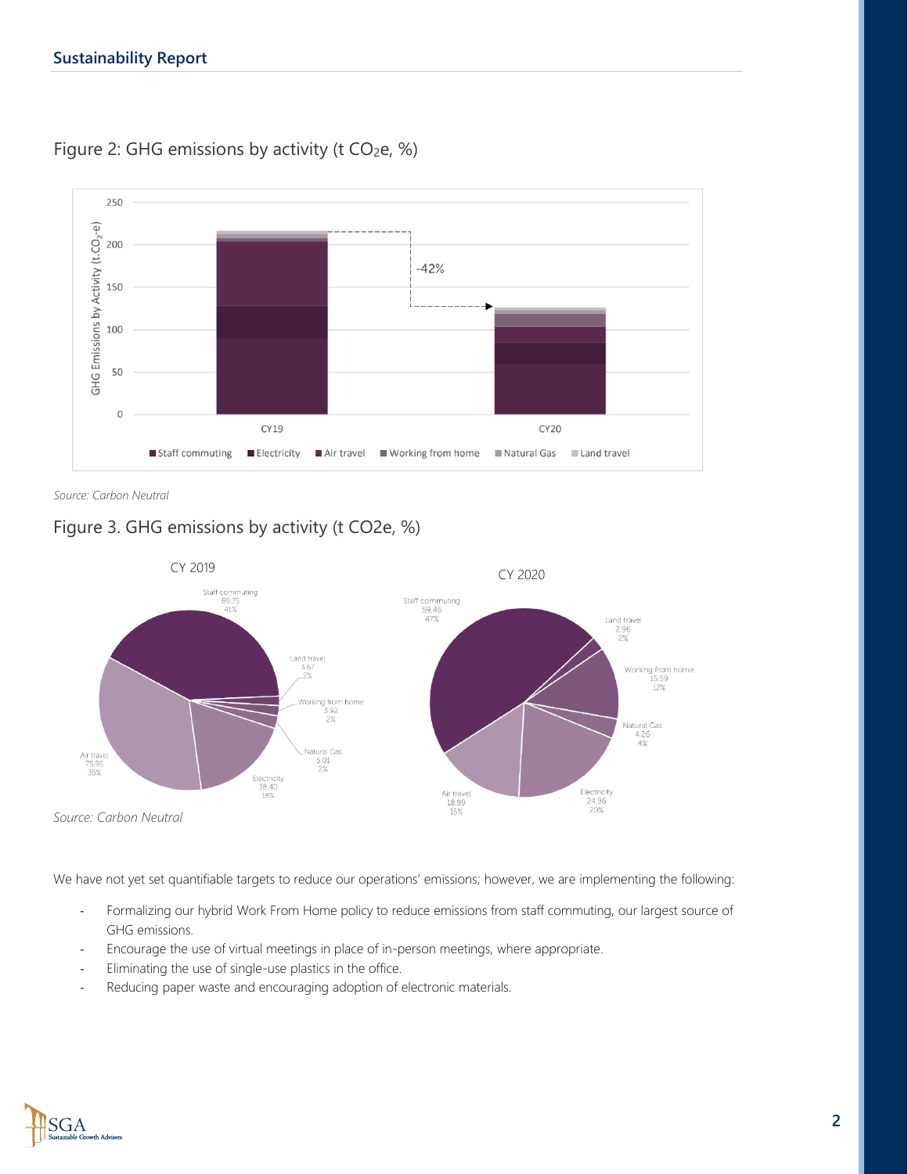

Figure 2: GHG emissions by activity (t  $CO<sub>2</sub>e$ , %)

*Source: Carbon Neutral*

#### Figure 3. GHG emissions by activity (t CO2e, %)



We have not yet set quantifiable targets to reduce our operations' emissions; however, we are implementing the following:

- Formalizing our hybrid Work From Home policy to reduce emissions from staff commuting, our largest source of GHG emissions.
- Encourage the use of virtual meetings in place of in-person meetings, where appropriate.
- Eliminating the use of single-use plastics in the office.
- Reducing paper waste and encouraging adoption of electronic materials.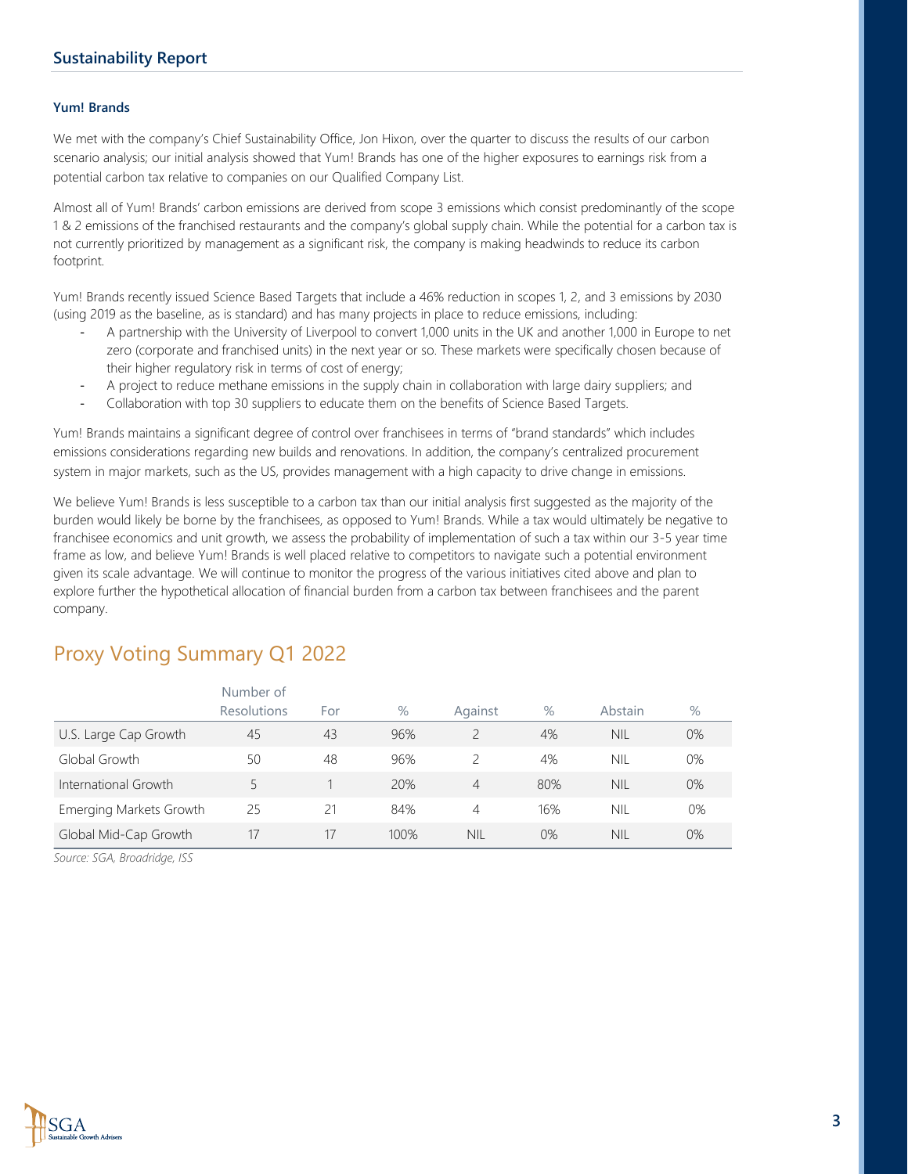#### **Yum! Brands**

We met with the company's Chief Sustainability Office, Jon Hixon, over the quarter to discuss the results of our carbon scenario analysis; our initial analysis showed that Yum! Brands has one of the higher exposures to earnings risk from a potential carbon tax relative to companies on our Qualified Company List.

Almost all of Yum! Brands' carbon emissions are derived from scope 3 emissions which consist predominantly of the scope 1 & 2 emissions of the franchised restaurants and the company's global supply chain. While the potential for a carbon tax is not currently prioritized by management as a significant risk, the company is making headwinds to reduce its carbon footprint.

Yum! Brands recently issued Science Based Targets that include a 46% reduction in scopes 1, 2, and 3 emissions by 2030 (using 2019 as the baseline, as is standard) and has many projects in place to reduce emissions, including:

- A partnership with the University of Liverpool to convert 1,000 units in the UK and another 1,000 in Europe to net zero (corporate and franchised units) in the next year or so. These markets were specifically chosen because of their higher regulatory risk in terms of cost of energy;
- A project to reduce methane emissions in the supply chain in collaboration with large dairy suppliers; and
- Collaboration with top 30 suppliers to educate them on the benefits of Science Based Targets.

Yum! Brands maintains a significant degree of control over franchisees in terms of "brand standards" which includes emissions considerations regarding new builds and renovations. In addition, the company's centralized procurement system in major markets, such as the US, provides management with a high capacity to drive change in emissions.

We believe Yum! Brands is less susceptible to a carbon tax than our initial analysis first suggested as the majority of the burden would likely be borne by the franchisees, as opposed to Yum! Brands. While a tax would ultimately be negative to franchisee economics and unit growth, we assess the probability of implementation of such a tax within our 3-5 year time frame as low, and believe Yum! Brands is well placed relative to competitors to navigate such a potential environment given its scale advantage. We will continue to monitor the progress of the various initiatives cited above and plan to explore further the hypothetical allocation of financial burden from a carbon tax between franchisees and the parent company.

|                                | Number of          |     |      |                |      |            |      |
|--------------------------------|--------------------|-----|------|----------------|------|------------|------|
|                                | <b>Resolutions</b> | For | $\%$ | Against        | $\%$ | Abstain    | $\%$ |
| U.S. Large Cap Growth          | 45                 | 43  | 96%  |                | 4%   | NII.       | 0%   |
| Global Growth                  | 50                 | 48  | 96%  |                | 4%   | NIL        | 0%   |
| International Growth           |                    |     | 20%  | $\overline{4}$ | 80%  | <b>NIL</b> | 0%   |
| <b>Emerging Markets Growth</b> | 25                 | 21  | 84%  | 4              | 16%  | <b>NIL</b> | 0%   |
| Global Mid-Cap Growth          | 17                 | 17  | 100% | <b>NIL</b>     | 0%   | NIL.       | 0%   |

### Proxy Voting Summary Q1 2022

*Source: SGA, Broadridge, ISS*



**3**